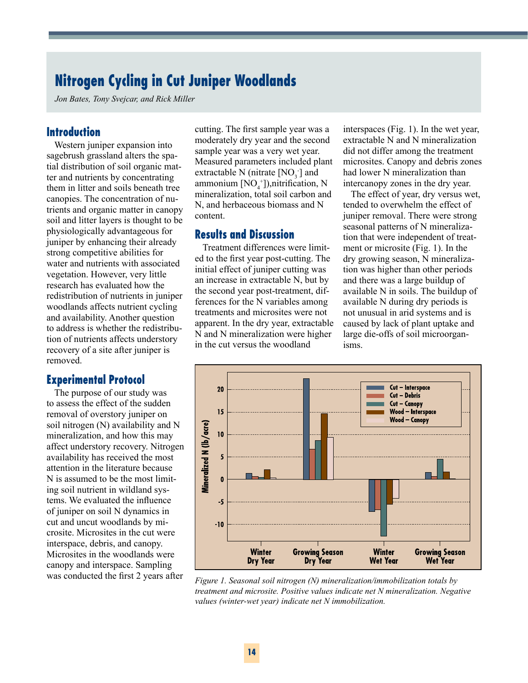# **Nitrogen Cycling in Cut Juniper Woodlands**

*Jon Bates, Tony Svejcar, and Rick Miller*

#### **Introduction**

Western juniper expansion into sagebrush grassland alters the spatial distribution of soil organic matter and nutrients by concentrating them in litter and soils beneath tree canopies. The concentration of nutrients and organic matter in canopy soil and litter layers is thought to be physiologically advantageous for juniper by enhancing their already strong competitive abilities for water and nutrients with associated vegetation. However, very little research has evaluated how the redistribution of nutrients in juniper woodlands affects nutrient cycling and availability. Another question to address is whether the redistribution of nutrients affects understory recovery of a site after juniper is removed.

#### **Experimental Protocol**

The purpose of our study was to assess the effect of the sudden removal of overstory juniper on soil nitrogen (N) availability and N mineralization, and how this may affect understory recovery. Nitrogen availability has received the most attention in the literature because N is assumed to be the most limiting soil nutrient in wildland systems. We evaluated the influence of juniper on soil N dynamics in cut and uncut woodlands by microsite. Microsites in the cut were interspace, debris, and canopy. Microsites in the woodlands were canopy and interspace. Sampling

cutting. The first sample year was a moderately dry year and the second sample year was a very wet year. Measured parameters included plant extractable N (nitrate  $[NO_3]$  and ammonium  $[NO<sub>4</sub><sup>+</sup>])$ ,nitrification, N mineralization, total soil carbon and N, and herbaceous biomass and N content.

### **Results and Discussion**

Treatment differences were limited to the first year post-cutting. The initial effect of juniper cutting was an increase in extractable N, but by the second year post-treatment, differences for the N variables among treatments and microsites were not apparent. In the dry year, extractable N and N mineralization were higher in the cut versus the woodland

interspaces (Fig. 1). In the wet year, extractable N and N mineralization did not differ among the treatment microsites. Canopy and debris zones had lower N mineralization than intercanopy zones in the dry year.

The effect of year, dry versus wet, tended to overwhelm the effect of juniper removal. There were strong seasonal patterns of N mineralization that were independent of treatment or microsite (Fig. 1). In the dry growing season, N mineralization was higher than other periods and there was a large buildup of available N in soils. The buildup of available N during dry periods is not unusual in arid systems and is caused by lack of plant uptake and large die-offs of soil microorganisms.



was conducted the first 2 years after *Figure 1. Seasonal soil nitrogen (N) mineralization/immobilization totals by treatment and microsite. Positive values indicate net N mineralization. Negative values (winter-wet year) indicate net N immobilization.*